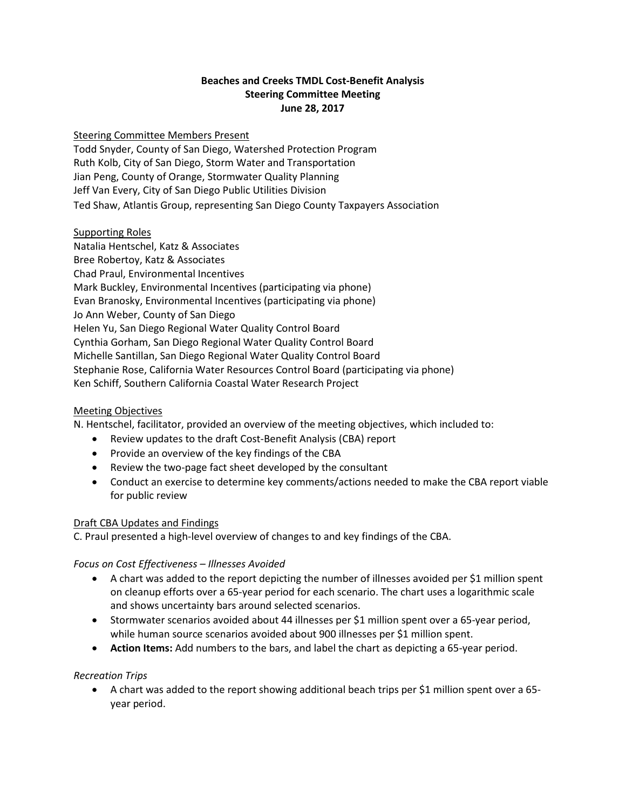# **Beaches and Creeks TMDL Cost-Benefit Analysis Steering Committee Meeting June 28, 2017**

### Steering Committee Members Present

Todd Snyder, County of San Diego, Watershed Protection Program Ruth Kolb, City of San Diego, Storm Water and Transportation Jian Peng, County of Orange, Stormwater Quality Planning Jeff Van Every, City of San Diego Public Utilities Division Ted Shaw, Atlantis Group, representing San Diego County Taxpayers Association

### Supporting Roles

Natalia Hentschel, Katz & Associates Bree Robertoy, Katz & Associates Chad Praul, Environmental Incentives Mark Buckley, Environmental Incentives (participating via phone) Evan Branosky, Environmental Incentives (participating via phone) Jo Ann Weber, County of San Diego Helen Yu, San Diego Regional Water Quality Control Board Cynthia Gorham, San Diego Regional Water Quality Control Board Michelle Santillan, San Diego Regional Water Quality Control Board Stephanie Rose, California Water Resources Control Board (participating via phone) Ken Schiff, Southern California Coastal Water Research Project

### Meeting Objectives

N. Hentschel, facilitator, provided an overview of the meeting objectives, which included to:

- Review updates to the draft Cost-Benefit Analysis (CBA) report
- Provide an overview of the key findings of the CBA
- Review the two-page fact sheet developed by the consultant
- Conduct an exercise to determine key comments/actions needed to make the CBA report viable for public review

### Draft CBA Updates and Findings

C. Praul presented a high-level overview of changes to and key findings of the CBA.

### *Focus on Cost Effectiveness – Illnesses Avoided*

- A chart was added to the report depicting the number of illnesses avoided per \$1 million spent on cleanup efforts over a 65-year period for each scenario. The chart uses a logarithmic scale and shows uncertainty bars around selected scenarios.
- Stormwater scenarios avoided about 44 illnesses per \$1 million spent over a 65-year period, while human source scenarios avoided about 900 illnesses per \$1 million spent.
- **Action Items:** Add numbers to the bars, and label the chart as depicting a 65-year period.

### *Recreation Trips*

• A chart was added to the report showing additional beach trips per \$1 million spent over a 65 year period.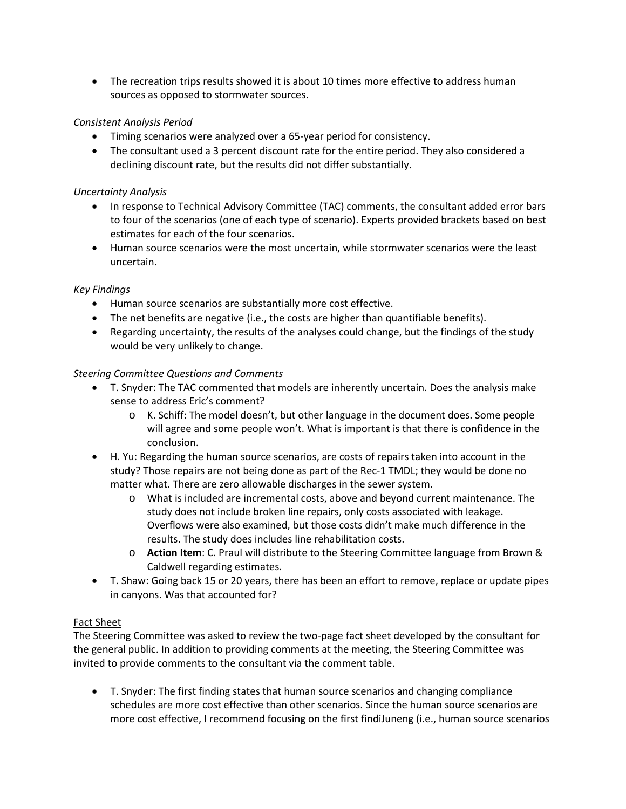• The recreation trips results showed it is about 10 times more effective to address human sources as opposed to stormwater sources.

# *Consistent Analysis Period*

- Timing scenarios were analyzed over a 65-year period for consistency.
- The consultant used a 3 percent discount rate for the entire period. They also considered a declining discount rate, but the results did not differ substantially.

### *Uncertainty Analysis*

- In response to Technical Advisory Committee (TAC) comments, the consultant added error bars to four of the scenarios (one of each type of scenario). Experts provided brackets based on best estimates for each of the four scenarios.
- Human source scenarios were the most uncertain, while stormwater scenarios were the least uncertain.

### *Key Findings*

- Human source scenarios are substantially more cost effective.
- The net benefits are negative (i.e., the costs are higher than quantifiable benefits).
- Regarding uncertainty, the results of the analyses could change, but the findings of the study would be very unlikely to change.

# *Steering Committee Questions and Comments*

- T. Snyder: The TAC commented that models are inherently uncertain. Does the analysis make sense to address Eric's comment?
	- o K. Schiff: The model doesn't, but other language in the document does. Some people will agree and some people won't. What is important is that there is confidence in the conclusion.
- H. Yu: Regarding the human source scenarios, are costs of repairs taken into account in the study? Those repairs are not being done as part of the Rec-1 TMDL; they would be done no matter what. There are zero allowable discharges in the sewer system.
	- o What is included are incremental costs, above and beyond current maintenance. The study does not include broken line repairs, only costs associated with leakage. Overflows were also examined, but those costs didn't make much difference in the results. The study does includes line rehabilitation costs.
	- o **Action Item**: C. Praul will distribute to the Steering Committee language from Brown & Caldwell regarding estimates.
- T. Shaw: Going back 15 or 20 years, there has been an effort to remove, replace or update pipes in canyons. Was that accounted for?

### Fact Sheet

The Steering Committee was asked to review the two-page fact sheet developed by the consultant for the general public. In addition to providing comments at the meeting, the Steering Committee was invited to provide comments to the consultant via the comment table.

• T. Snyder: The first finding states that human source scenarios and changing compliance schedules are more cost effective than other scenarios. Since the human source scenarios are more cost effective, I recommend focusing on the first findiJuneng (i.e., human source scenarios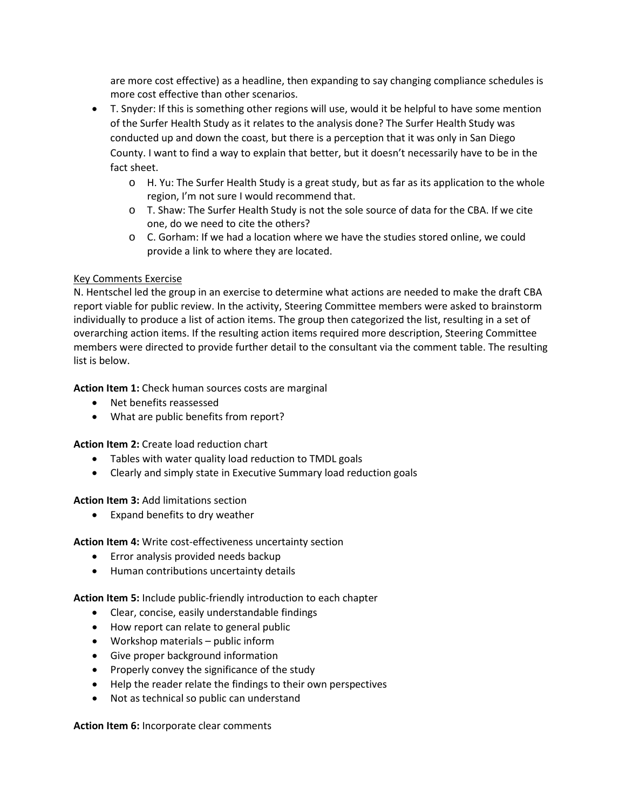are more cost effective) as a headline, then expanding to say changing compliance schedules is more cost effective than other scenarios.

- T. Snyder: If this is something other regions will use, would it be helpful to have some mention of the Surfer Health Study as it relates to the analysis done? The Surfer Health Study was conducted up and down the coast, but there is a perception that it was only in San Diego County. I want to find a way to explain that better, but it doesn't necessarily have to be in the fact sheet.
	- o H. Yu: The Surfer Health Study is a great study, but as far as its application to the whole region, I'm not sure I would recommend that.
	- o T. Shaw: The Surfer Health Study is not the sole source of data for the CBA. If we cite one, do we need to cite the others?
	- o C. Gorham: If we had a location where we have the studies stored online, we could provide a link to where they are located.

# Key Comments Exercise

N. Hentschel led the group in an exercise to determine what actions are needed to make the draft CBA report viable for public review. In the activity, Steering Committee members were asked to brainstorm individually to produce a list of action items. The group then categorized the list, resulting in a set of overarching action items. If the resulting action items required more description, Steering Committee members were directed to provide further detail to the consultant via the comment table. The resulting list is below.

**Action Item 1:** Check human sources costs are marginal

- Net benefits reassessed
- What are public benefits from report?

**Action Item 2:** Create load reduction chart

- Tables with water quality load reduction to TMDL goals
- Clearly and simply state in Executive Summary load reduction goals

**Action Item 3:** Add limitations section

• Expand benefits to dry weather

**Action Item 4:** Write cost-effectiveness uncertainty section

- Error analysis provided needs backup
- Human contributions uncertainty details

**Action Item 5:** Include public-friendly introduction to each chapter

- Clear, concise, easily understandable findings
- How report can relate to general public
- Workshop materials public inform
- Give proper background information
- Properly convey the significance of the study
- Help the reader relate the findings to their own perspectives
- Not as technical so public can understand

**Action Item 6:** Incorporate clear comments